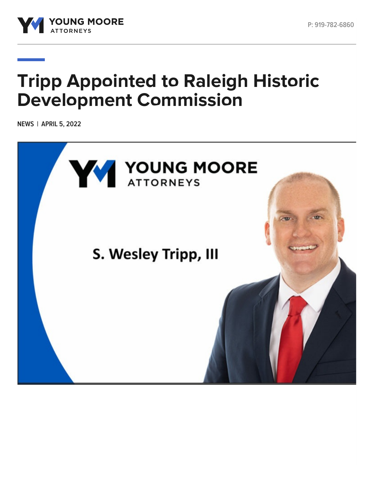

# **Tripp Appointed to Raleigh Historic Development Commission**

**NEWS | APRIL 5, 2022**

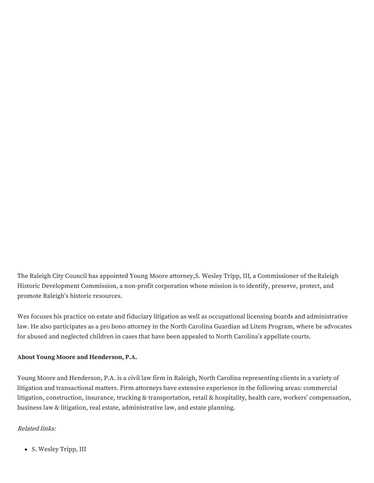The Raleigh City Council has appointed Young Moore attorney,S. [Wesley](https://www.youngmoorelaw.com/people/attorneys/samuel-w-wes-tripp-iii/) Tripp, III, a [Commissioner](https://rhdc.org/) of theRaleigh Historic Development Commission, a non-profit corporation whose mission is to identify, preserve, protect, and promote Raleigh's historic resources.

Wes focuses his practice on estate and fiduciary litigation as well as occupational licensing boards and administrative law. He also participates as a pro bono attorney in the North Carolina Guardian ad Litem Program, where he advocates for abused and neglected children in cases that have been appealed to North Carolina's appellate courts.

### **About Young Moore and Henderson, P.A.**

Young Moore and Henderson, P.A. is a civil law firm in Raleigh, North Carolina representing clients in a variety of litigation and transactional matters. Firm attorneys have extensive experience in the following areas: commercial litigation, construction, insurance, trucking & transportation, retail & hospitality, health care, workers' compensation, business law & litigation, real estate, administrative law, and estate planning.

### Related links:

S. [Wesley](https://www.youngmoorelaw.com/people/attorneys/samuel-w-wes-tripp-iii/) Tripp, III